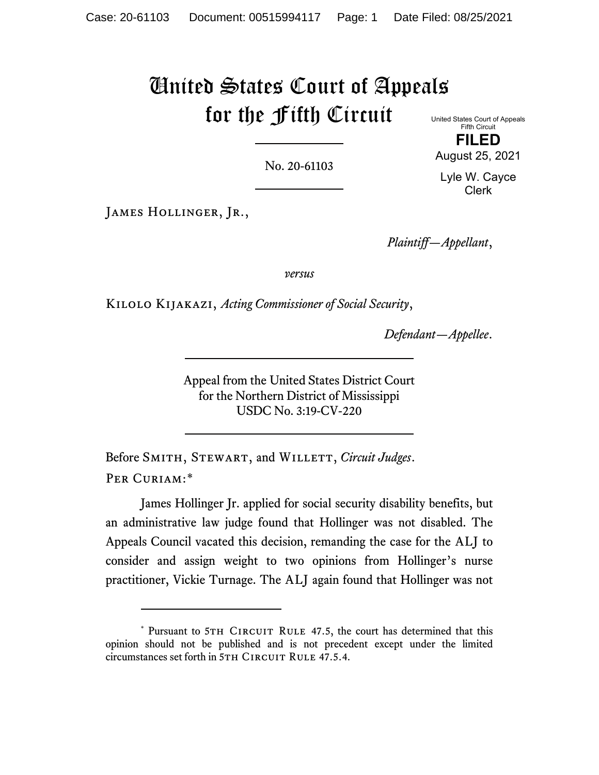# United States Court of Appeals for the Fifth Circuit

No. 20-61103

United States Court of Appeals Fifth Circuit

**FILED**

August 25, 2021

Lyle W. Cayce Clerk

JAMES HOLLINGER, JR.,

*Plaintiff—Appellant*,

*versus*

Kilolo Kijakazi, *Acting Commissioner of Social Security*,

*Defendant—Appellee*.

Appeal from the United States District Court for the Northern District of Mississippi USDC No. 3:19-CV-220

Before SMITH, STEWART, and WILLETT, *Circuit Judges*. PER CURIAM:[\\*](#page-0-0)

James Hollinger Jr. applied for social security disability benefits, but an administrative law judge found that Hollinger was not disabled. The Appeals Council vacated this decision, remanding the case for the ALJ to consider and assign weight to two opinions from Hollinger's nurse practitioner, Vickie Turnage. The ALJ again found that Hollinger was not

<span id="page-0-0"></span><sup>\*</sup> Pursuant to 5TH CIRCUIT RULE 47.5, the court has determined that this opinion should not be published and is not precedent except under the limited circumstances set forth in 5TH CIRCUIT RULE 47.5.4.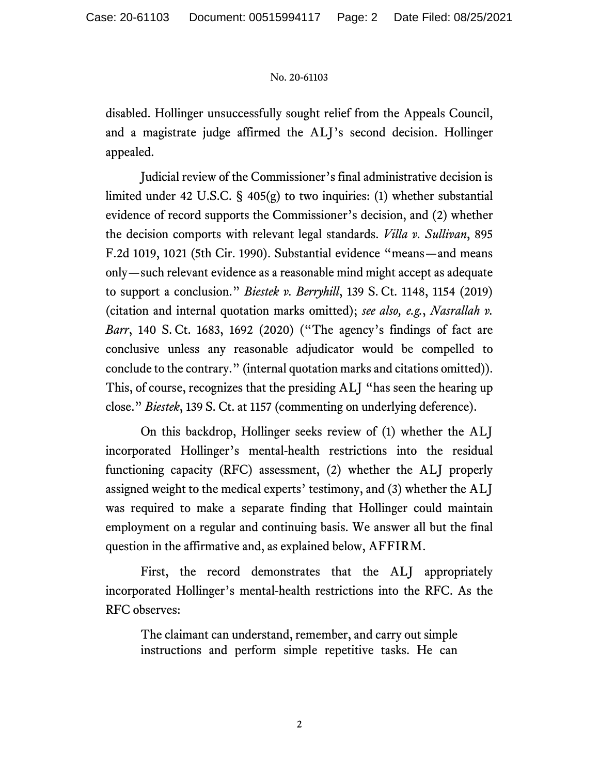disabled. Hollinger unsuccessfully sought relief from the Appeals Council, and a magistrate judge affirmed the ALJ's second decision. Hollinger appealed.

Judicial review of the Commissioner's final administrative decision is limited under 42 U.S.C. § 405(g) to two inquiries: (1) whether substantial evidence of record supports the Commissioner's decision, and (2) whether the decision comports with relevant legal standards. *Villa v. Sullivan*, 895 F.2d 1019, 1021 (5th Cir. 1990). Substantial evidence "means—and means only—such relevant evidence as a reasonable mind might accept as adequate to support a conclusion." *Biestek v. Berryhill*, 139 S. Ct. 1148, 1154 (2019) (citation and internal quotation marks omitted); *see also, e.g.*, *Nasrallah v. Barr*, 140 S. Ct. 1683, 1692 (2020) ("The agency's findings of fact are conclusive unless any reasonable adjudicator would be compelled to conclude to the contrary." (internal quotation marks and citations omitted)). This, of course, recognizes that the presiding ALJ "has seen the hearing up close." *Biestek*, 139 S. Ct. at 1157 (commenting on underlying deference).

On this backdrop, Hollinger seeks review of (1) whether the ALJ incorporated Hollinger's mental-health restrictions into the residual functioning capacity (RFC) assessment, (2) whether the ALJ properly assigned weight to the medical experts' testimony, and (3) whether the ALJ was required to make a separate finding that Hollinger could maintain employment on a regular and continuing basis. We answer all but the final question in the affirmative and, as explained below, AFFIRM.

First, the record demonstrates that the ALJ appropriately incorporated Hollinger's mental-health restrictions into the RFC. As the RFC observes:

The claimant can understand, remember, and carry out simple instructions and perform simple repetitive tasks. He can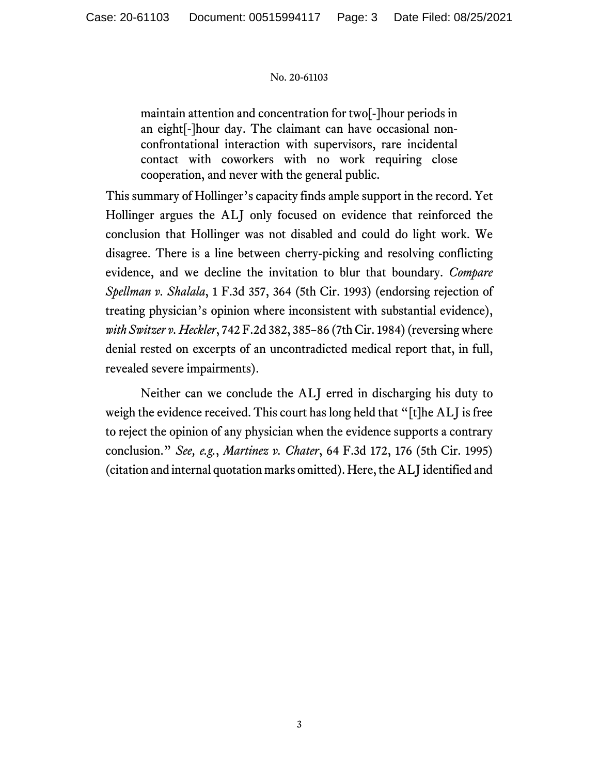maintain attention and concentration for two[-]hour periods in an eight[-]hour day. The claimant can have occasional nonconfrontational interaction with supervisors, rare incidental contact with coworkers with no work requiring close cooperation, and never with the general public.

This summary of Hollinger's capacity finds ample support in the record. Yet Hollinger argues the ALJ only focused on evidence that reinforced the conclusion that Hollinger was not disabled and could do light work. We disagree. There is a line between cherry-picking and resolving conflicting evidence, and we decline the invitation to blur that boundary. *Compare Spellman v. Shalala*, 1 F.3d 357, 364 (5th Cir. 1993) (endorsing rejection of treating physician's opinion where inconsistent with substantial evidence), *with Switzer v. Heckler*, 742 F.2d 382, 385–86 (7th Cir. 1984) (reversing where denial rested on excerpts of an uncontradicted medical report that, in full, revealed severe impairments).

Neither can we conclude the ALJ erred in discharging his duty to weigh the evidence received. This court has long held that "[t]he ALJ is free to reject the opinion of any physician when the evidence supports a contrary conclusion." *See, e.g.*, *Martinez v. Chater*, 64 F.3d 172, 176 (5th Cir. 1995) (citation and internal quotation marks omitted). Here, the ALJ identified and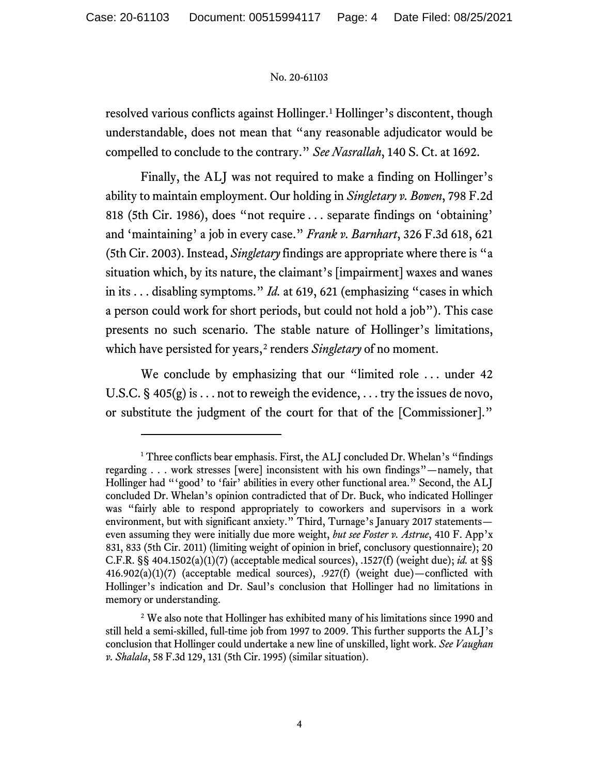resolved various conflicts against Hollinger.<sup>[1](#page-3-0)</sup> Hollinger's discontent, though understandable, does not mean that "any reasonable adjudicator would be compelled to conclude to the contrary." *See Nasrallah*, 140 S. Ct. at 1692.

Finally, the ALJ was not required to make a finding on Hollinger's ability to maintain employment. Our holding in *Singletary v. Bowen*, 798 F.2d 818 (5th Cir. 1986), does "not require . . . separate findings on 'obtaining' and 'maintaining' a job in every case." *Frank v. Barnhart*, 326 F.3d 618, 621 (5th Cir. 2003). Instead, *Singletary* findings are appropriate where there is "a situation which, by its nature, the claimant's [impairment] waxes and wanes in its . . . disabling symptoms." *Id.* at 619, 621 (emphasizing "cases in which a person could work for short periods, but could not hold a job"). This case presents no such scenario. The stable nature of Hollinger's limitations, which have persisted for years,<sup>[2](#page-3-1)</sup> renders *Singletary* of no moment.

We conclude by emphasizing that our "limited role ... under 42 U.S.C.  $\S$  405(g) is ... not to reweigh the evidence, ... try the issues de novo, or substitute the judgment of the court for that of the [Commissioner]."

<span id="page-3-0"></span><sup>&</sup>lt;sup>1</sup> Three conflicts bear emphasis. First, the ALJ concluded Dr. Whelan's "findings" regarding . . . work stresses [were] inconsistent with his own findings"—namely, that Hollinger had "'good' to 'fair' abilities in every other functional area." Second, the ALJ concluded Dr. Whelan's opinion contradicted that of Dr. Buck, who indicated Hollinger was "fairly able to respond appropriately to coworkers and supervisors in a work environment, but with significant anxiety." Third, Turnage's January 2017 statements even assuming they were initially due more weight, *but see Foster v. Astrue*, 410 F. App'x 831, 833 (5th Cir. 2011) (limiting weight of opinion in brief, conclusory questionnaire); 20 C.F.R. §§ 404.1502(a)(1)(7) (acceptable medical sources), .1527(f) (weight due); *id.* at §§ 416.902(a)(1)(7) (acceptable medical sources), .927(f) (weight due)—conflicted with Hollinger's indication and Dr. Saul's conclusion that Hollinger had no limitations in memory or understanding.

<span id="page-3-1"></span><sup>&</sup>lt;sup>2</sup> We also note that Hollinger has exhibited many of his limitations since 1990 and still held a semi-skilled, full-time job from 1997 to 2009. This further supports the ALJ's conclusion that Hollinger could undertake a new line of unskilled, light work. *See Vaughan v. Shalala*, 58 F.3d 129, 131 (5th Cir. 1995) (similar situation).